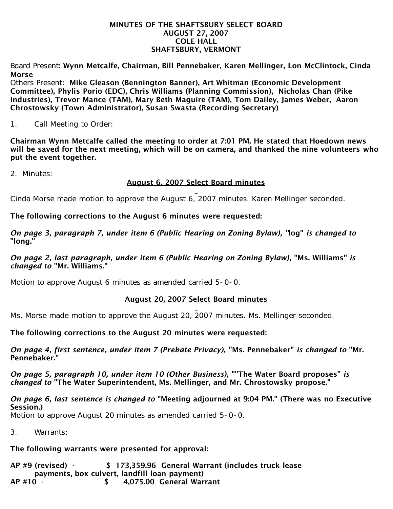#### MINUTES OF THE SHAFTSBURY SELECT BOARD AUGUST 27, 2007 COLE HALL SHAFTSBURY, VERMONT

Board Present: Wynn Metcalfe, Chairman, Bill Pennebaker, Karen Mellinger, Lon McClintock, Cinda Morse

Others Present: Mike Gleason (Bennington Banner), Art Whitman (Economic Development Committee), Phylis Porio (EDC), Chris Williams (Planning Commission), Nicholas Chan (Pike Industries), Trevor Mance (TAM), Mary Beth Maguire (TAM), Tom Dailey, James Weber, Aaron Chrostowsky (Town Administrator), Susan Swasta (Recording Secretary)

1. Call Meeting to Order:

Chairman Wynn Metcalfe called the meeting to order at 7:01 PM. He stated that Hoedown news will be saved for the next meeting, which will be on camera, and thanked the nine volunteers who put the event together.

2. Minutes:

## August 6, 2007 Select Board minutes

Cinda Morse made motion to approve the August 6, 2007 minutes. Karen Mellinger seconded.

## The following corrections to the August 6 minutes were requested:

*On page 3, paragraph 7, under item 6 (Public Hearing on Zoning Bylaw), "*log" *is changed to* "long."

*On page 2, last paragraph, under item 6 (Public Hearing on Zoning Bylaw),* "Ms. Williams" *is changed to* "Mr. Williams."

Motion to approve August 6 minutes as amended carried 5-0-0.

# August 20, 2007 Select Board minutes

Ms. Morse made motion to approve the August 20, 2007 minutes. Ms. Mellinger seconded.

The following corrections to the August 20 minutes were requested:

*On page 4, first sentence, under item 7 (Prebate Privacy),* "Ms. Pennebaker" *is changed to* "Mr. Pennebaker."

*On page 5, paragraph 10, under item 10 (Other Business),* ""The Water Board proposes" *is changed to* "The Water Superintendent, Ms. Mellinger, and Mr. Chrostowsky propose."

*On page 6, last sentence is changed to* "Meeting adjourned at 9:04 PM." (There was no Executive Session.)

Motion to approve August 20 minutes as amended carried 5-0-0.

3. Warrants:

# The following warrants were presented for approval:

AP #9 (revised) - \$ 173,359.96 General Warrant (includes truck lease payments, box culvert, landfill loan payment) AP #10 - \$ 4,075.00 General Warrant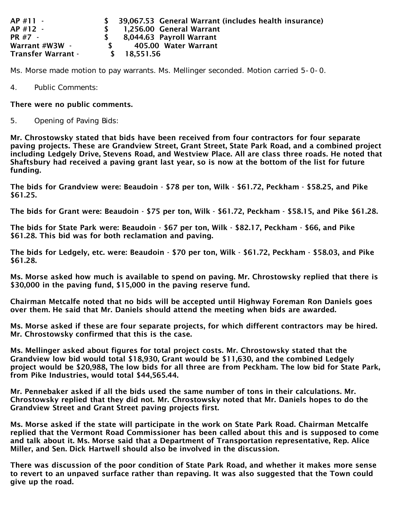| $AP$ #11 -                | 39,067.53 General Warrant (includes health insurance) |
|---------------------------|-------------------------------------------------------|
| $AP$ #12 -                | 1,256.00 General Warrant                              |
| <b>PR #7 -</b>            | 8,044.63 Payroll Warrant                              |
| Warrant #W3W -            | 405.00 Water Warrant                                  |
| <b>Transfer Warrant -</b> | \$ 18.551.56                                          |

Ms. Morse made motion to pay warrants. Ms. Mellinger seconded. Motion carried 5-0-0.

4. Public Comments:

#### There were no public comments.

5. Opening of Paving Bids:

Mr. Chrostowsky stated that bids have been received from four contractors for four separate paving projects. These are Grandview Street, Grant Street, State Park Road, and a combined project including Ledgely Drive, Stevens Road, and Westview Place. All are class three roads. He noted that Shaftsbury had received a paving grant last year, so is now at the bottom of the list for future funding.

The bids for Grandview were: Beaudoin - \$78 per ton, Wilk - \$61.72, Peckham - \$58.25, and Pike \$61.25.

The bids for Grant were: Beaudoin - \$75 per ton, Wilk - \$61.72, Peckham - \$58.15, and Pike \$61.28.

The bids for State Park were: Beaudoin - \$67 per ton, Wilk - \$82.17, Peckham - \$66, and Pike \$61.28. This bid was for both reclamation and paving.

The bids for Ledgely, etc. were: Beaudoin - \$70 per ton, Wilk - \$61.72, Peckham - \$58.03, and Pike \$61.28.

Ms. Morse asked how much is available to spend on paving. Mr. Chrostowsky replied that there is \$30,000 in the paving fund, \$15,000 in the paving reserve fund.

Chairman Metcalfe noted that no bids will be accepted until Highway Foreman Ron Daniels goes over them. He said that Mr. Daniels should attend the meeting when bids are awarded.

Ms. Morse asked if these are four separate projects, for which different contractors may be hired. Mr. Chrostowsky confirmed that this is the case.

Ms. Mellinger asked about figures for total project costs. Mr. Chrostowsky stated that the Grandview low bid would total \$18,930, Grant would be \$11,630, and the combined Ledgely project would be \$20,988, The low bids for all three are from Peckham. The low bid for State Park, from Pike Industries, would total \$44,565.44.

Mr. Pennebaker asked if all the bids used the same number of tons in their calculations. Mr. Chrostowsky replied that they did not. Mr. Chrostowsky noted that Mr. Daniels hopes to do the Grandview Street and Grant Street paving projects first.

Ms. Morse asked if the state will participate in the work on State Park Road. Chairman Metcalfe replied that the Vermont Road Commissioner has been called about this and is supposed to come and talk about it. Ms. Morse said that a Department of Transportation representative, Rep. Alice Miller, and Sen. Dick Hartwell should also be involved in the discussion.

There was discussion of the poor condition of State Park Road, and whether it makes more sense to revert to an unpaved surface rather than repaving. It was also suggested that the Town could give up the road.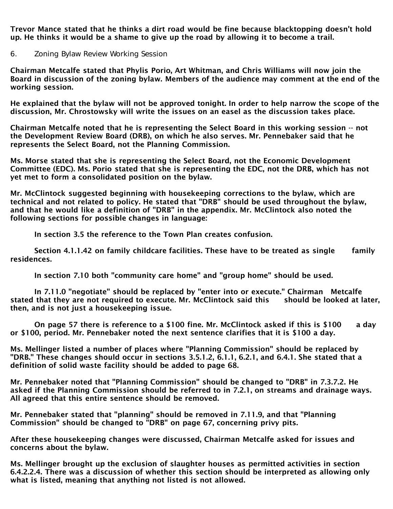Trevor Mance stated that he thinks a dirt road would be fine because blacktopping doesn't hold up. He thinks it would be a shame to give up the road by allowing it to become a trail.

6. Zoning Bylaw Review Working Session

Chairman Metcalfe stated that Phylis Porio, Art Whitman, and Chris Williams will now join the Board in discussion of the zoning bylaw. Members of the audience may comment at the end of the working session.

He explained that the bylaw will not be approved tonight. In order to help narrow the scope of the discussion, Mr. Chrostowsky will write the issues on an easel as the discussion takes place.

Chairman Metcalfe noted that he is representing the Select Board in this working session -- not the Development Review Board (DRB), on which he also serves. Mr. Pennebaker said that he represents the Select Board, not the Planning Commission.

Ms. Morse stated that she is representing the Select Board, not the Economic Development Committee (EDC). Ms. Porio stated that she is representing the EDC, not the DRB, which has not yet met to form a consolidated position on the bylaw.

Mr. McClintock suggested beginning with housekeeping corrections to the bylaw, which are technical and not related to policy. He stated that "DRB" should be used throughout the bylaw, and that he would like a definition of "DRB" in the appendix. Mr. McClintock also noted the following sections for possible changes in language:

In section 3.5 the reference to the Town Plan creates confusion.

 Section 4.1.1.42 on family childcare facilities. These have to be treated as single family residences.

In section 7.10 both "community care home" and "group home" should be used.

 In 7.11.0 "negotiate" should be replaced by "enter into or execute." Chairman Metcalfe stated that they are not required to execute. Mr. McClintock said this should be looked at later, then, and is not just a housekeeping issue.

 On page 57 there is reference to a \$100 fine. Mr. McClintock asked if this is \$100 a day or \$100, period. Mr. Pennebaker noted the next sentence clarifies that it is \$100 a day.

Ms. Mellinger listed a number of places where "Planning Commission" should be replaced by "DRB." These changes should occur in sections 3.5.1.2, 6.1.1, 6.2.1, and 6.4.1. She stated that a definition of solid waste facility should be added to page 68.

Mr. Pennebaker noted that "Planning Commission" should be changed to "DRB" in 7.3.7.2. He asked if the Planning Commission should be referred to in 7.2.1, on streams and drainage ways. All agreed that this entire sentence should be removed.

Mr. Pennebaker stated that "planning" should be removed in 7.11.9, and that "Planning Commission" should be changed to "DRB" on page 67, concerning privy pits.

After these housekeeping changes were discussed, Chairman Metcalfe asked for issues and concerns about the bylaw.

Ms. Mellinger brought up the exclusion of slaughter houses as permitted activities in section 6.4.2.2.4. There was a discussion of whether this section should be interpreted as allowing only what is listed, meaning that anything not listed is not allowed.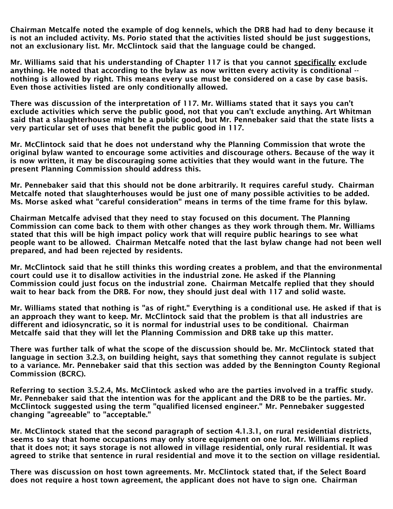Chairman Metcalfe noted the example of dog kennels, which the DRB had had to deny because it is not an included activity. Ms. Porio stated that the activities listed should be just suggestions, not an exclusionary list. Mr. McClintock said that the language could be changed.

Mr. Williams said that his understanding of Chapter 117 is that you cannot specifically exclude anything. He noted that according to the bylaw as now written every activity is conditional - nothing is allowed by right. This means every use must be considered on a case by case basis. Even those activities listed are only conditionally allowed.

There was discussion of the interpretation of 117. Mr. Williams stated that it says you can't exclude activities which serve the public good, not that you can't exclude anything. Art Whitman said that a slaughterhouse might be a public good, but Mr. Pennebaker said that the state lists a very particular set of uses that benefit the public good in 117.

Mr. McClintock said that he does not understand why the Planning Commission that wrote the original bylaw wanted to encourage some activities and discourage others. Because of the way it is now written, it may be discouraging some activities that they would want in the future. The present Planning Commission should address this.

Mr. Pennebaker said that this should not be done arbitrarily. It requires careful study. Chairman Metcalfe noted that slaughterhouses would be just one of many possible activities to be added. Ms. Morse asked what "careful consideration" means in terms of the time frame for this bylaw.

Chairman Metcalfe advised that they need to stay focused on this document. The Planning Commission can come back to them with other changes as they work through them. Mr. Williams stated that this will be high impact policy work that will require public hearings to see what people want to be allowed. Chairman Metcalfe noted that the last bylaw change had not been well prepared, and had been rejected by residents.

Mr. McClintock said that he still thinks this wording creates a problem, and that the environmental court could use it to disallow activities in the industrial zone. He asked if the Planning Commission could just focus on the industrial zone. Chairman Metcalfe replied that they should wait to hear back from the DRB. For now, they should just deal with 117 and solid waste.

Mr. Williams stated that nothing is "as of right." Everything is a conditional use. He asked if that is an approach they want to keep. Mr. McClintock said that the problem is that all industries are different and idiosyncratic, so it is normal for industrial uses to be conditional. Chairman Metcalfe said that they will let the Planning Commission and DRB take up this matter.

There was further talk of what the scope of the discussion should be. Mr. McClintock stated that language in section 3.2.3, on building height, says that something they cannot regulate is subject to a variance. Mr. Pennebaker said that this section was added by the Bennington County Regional Commission (BCRC).

Referring to section 3.5.2.4, Ms. McClintock asked who are the parties involved in a traffic study. Mr. Pennebaker said that the intention was for the applicant and the DRB to be the parties. Mr. McClintock suggested using the term "qualified licensed engineer." Mr. Pennebaker suggested changing "agreeable" to "acceptable."

Mr. McClintock stated that the second paragraph of section 4.1.3.1, on rural residential districts, seems to say that home occupations may only store equipment on one lot. Mr. Williams replied that it does not; it says storage is not allowed in village residential, only rural residential. It was agreed to strike that sentence in rural residential and move it to the section on village residential.

There was discussion on host town agreements. Mr. McClintock stated that, if the Select Board does not require a host town agreement, the applicant does not have to sign one. Chairman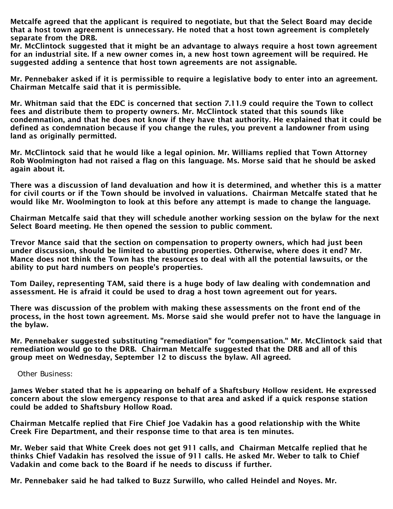Metcalfe agreed that the applicant is required to negotiate, but that the Select Board may decide that a host town agreement is unnecessary. He noted that a host town agreement is completely separate from the DRB.

Mr. McClintock suggested that it might be an advantage to always require a host town agreement for an industrial site. If a new owner comes in, a new host town agreement will be required. He suggested adding a sentence that host town agreements are not assignable.

Mr. Pennebaker asked if it is permissible to require a legislative body to enter into an agreement. Chairman Metcalfe said that it is permissible.

Mr. Whitman said that the EDC is concerned that section 7.11.9 could require the Town to collect fees and distribute them to property owners. Mr. McClintock stated that this sounds like condemnation, and that he does not know if they have that authority. He explained that it could be defined as condemnation because if you change the rules, you prevent a landowner from using land as originally permitted.

Mr. McClintock said that he would like a legal opinion. Mr. Williams replied that Town Attorney Rob Woolmington had not raised a flag on this language. Ms. Morse said that he should be asked again about it.

There was a discussion of land devaluation and how it is determined, and whether this is a matter for civil courts or if the Town should be involved in valuations. Chairman Metcalfe stated that he would like Mr. Woolmington to look at this before any attempt is made to change the language.

Chairman Metcalfe said that they will schedule another working session on the bylaw for the next Select Board meeting. He then opened the session to public comment.

Trevor Mance said that the section on compensation to property owners, which had just been under discussion, should be limited to abutting properties. Otherwise, where does it end? Mr. Mance does not think the Town has the resources to deal with all the potential lawsuits, or the ability to put hard numbers on people's properties.

Tom Dailey, representing TAM, said there is a huge body of law dealing with condemnation and assessment. He is afraid it could be used to drag a host town agreement out for years.

There was discussion of the problem with making these assessments on the front end of the process, in the host town agreement. Ms. Morse said she would prefer not to have the language in the bylaw.

Mr. Pennebaker suggested substituting "remediation" for "compensation." Mr. McClintock said that remediation would go to the DRB. Chairman Metcalfe suggested that the DRB and all of this group meet on Wednesday, September 12 to discuss the bylaw. All agreed.

Other Business:

James Weber stated that he is appearing on behalf of a Shaftsbury Hollow resident. He expressed concern about the slow emergency response to that area and asked if a quick response station could be added to Shaftsbury Hollow Road.

Chairman Metcalfe replied that Fire Chief Joe Vadakin has a good relationship with the White Creek Fire Department, and their response time to that area is ten minutes.

Mr. Weber said that White Creek does not get 911 calls, and Chairman Metcalfe replied that he thinks Chief Vadakin has resolved the issue of 911 calls. He asked Mr. Weber to talk to Chief Vadakin and come back to the Board if he needs to discuss if further.

Mr. Pennebaker said he had talked to Buzz Surwillo, who called Heindel and Noyes. Mr.